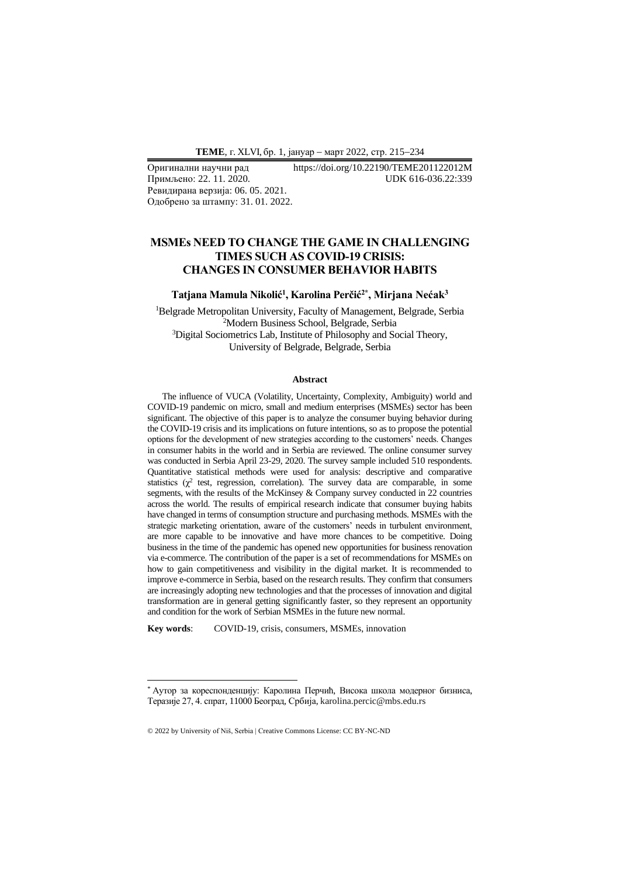Примљено: 22. 11. 2020. Ревидирана верзија: 06. 05. 2021. Одобрено за штампу: 31. 01. 2022.

# Оригинални научни рад https://doi.org/10.22190/TEME201122012M

## **MSMEs NEED TO CHANGE THE GAME IN CHALLENGING TIMES SUCH AS COVID-19 CRISIS: CHANGES IN CONSUMER BEHAVIOR HABITS**

#### **Тatjana Mamula Nikolić<sup>1</sup> , Karolina Perčić2\* , Mirjana Nećak<sup>3</sup>**

<sup>1</sup>Belgrade Metropolitan University, Faculty of Management, Belgrade, Serbia <sup>2</sup>Modern Business School, Belgrade, Serbia <sup>3</sup>Digital Sociometrics Lab, Institute of Philosophy and Social Theory, University of Belgrade, Belgrade, Serbia

#### **Abstract**

The influence of VUCA (Volatility, Uncertainty, Complexity, Ambiguity) world and COVID-19 pandemic on micro, small and medium enterprises (MSMEs) sector has been significant. The objective of this paper is to analyze the consumer buying behavior during the COVID-19 crisis and its implications on future intentions, so as to propose the potential options for the development of new strategies according to the customers' needs. Changes in consumer habits in the world and in Serbia are reviewed. The online consumer survey was conducted in Serbia April 23-29, 2020. The survey sample included 510 respondents. Quantitative statistical methods were used for analysis: descriptive and comparative statistics  $(\chi^2)$  test, regression, correlation). The survey data are comparable, in some segments, with the results of the McKinsey & Company survey conducted in 22 countries across the world. The results of empirical research indicate that consumer buying habits have changed in terms of consumption structure and purchasing methods. MSMEs with the strategic marketing orientation, aware of the customers' needs in turbulent environment, are more capable to be innovative and have more chances to be competitive. Doing business in the time of the pandemic has opened new opportunities for business renovation via e-commerce. The contribution of the paper is a set of recommendations for MSMEs on how to gain competitiveness and visibility in the digital market. It is recommended to improve e-commerce in Serbia, based on the research results. They confirm that consumers are increasingly adopting new technologies and that the processes of innovation and digital transformation are in general getting significantly faster, so they represent an opportunity and condition for the work of Serbian MSMEs in the future new normal.

**Key words**: COVID-19, crisis, consumers, MSMEs, innovation

<sup>\*</sup> Аутор за кореспонденцију: Каролина Перчић, Висока школа модерног бизниса, Теразије 27, 4. спрат, 11000 Београд, Србија, karolina.percic@mbs.edu.rs

<sup>© 2022</sup> by University of Niš, Serbia | Creative Commons License: CC BY-NC-ND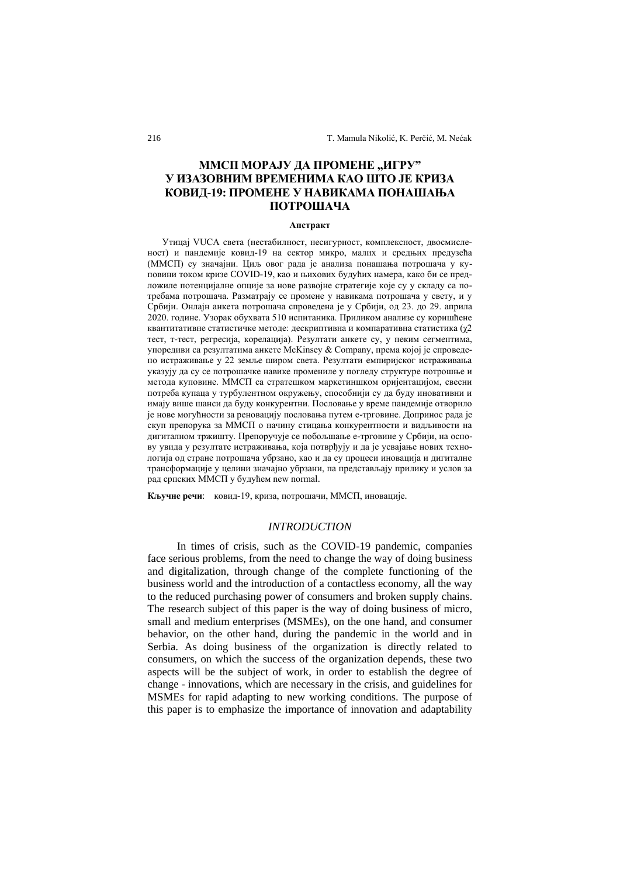## ММСП МОРАЈУ ДА ПРОМЕНЕ "ИГРУ" **У ИЗАЗОВНИМ ВРЕМЕНИМА КАО ШТО ЈЕ КРИЗА КОВИД-19: ПРОМЕНЕ У НАВИКАМА ПОНАШАЊА ПОТРОШАЧА**

#### **Апстракт**

Утицај VUCA света (нестабилност, несигурност, комплексност, двосмисленост) и пандемије ковид-19 на сектор микро, малих и средњих предузећа (ММСП) су значајни. Циљ овог рада је анализа понашања потрошача у куповини током кризе COVID-19, као и њихових будућих намера, како би се предложиле потенцијалне опције за нове развојне стратегије које су у складу са потребама потрошача. Разматрају се промене у навикама потрошача у свету, и у Србији. Онлајн анкета потрошача спроведена је у Србији, од 23. до 29. априла 2020. године. Узорак обухвата 510 испитаника. Приликом анализе су коришћене квантитативне статистичке методе: дескриптивна и компаративна статистика (χ2 тест, т-тест, регресија, корелација). Резултати анкете су, у неким сегментима, упоредиви са резултатима анкете McKinsey & Company, према којој је спроведено истраживање у 22 земље широм света. Резултати емпиријског истраживања указују да су се потрошачке навике промениле у погледу структуре потрошње и метода куповине. ММСП са стратешком маркетиншком оријентацијом, свесни потреба купаца у турбулентном окружењу, способнији су да буду иновативни и имају више шанси да буду конкурентни. Пословање у време пандемије отворило је нове могућности за реновацију пословања путем е-трговине. Допринос рада је скуп препорука за ММСП о начину стицања конкурентности и видљивости на дигиталном тржишту. Препоручује се побољшање е-трговине у Србији, на основу увида у резултате истраживања, која потврђују и да је усвајање нових технологија од стране потрошача убрзано, као и да су процеси иновација и дигиталне трансформације у целини значајно убрзани, па представљају прилику и услов за рад српских ММСП у будућем new normal.

**Кључне речи**: ковид-19, криза, потрошачи, ММСП, иновације.

#### *INTRODUCTION*

In times of crisis, such as the COVID-19 pandemic, companies face serious problems, from the need to change the way of doing business and digitalization, through change of the complete functioning of the business world and the introduction of a contactless economy, all the way to the reduced purchasing power of consumers and broken supply chains. The research subject of this paper is the way of doing business of micro, small and medium enterprises (MSMEs), on the one hand, and consumer behavior, on the other hand, during the pandemic in the world and in Serbia. As doing business of the organization is directly related to consumers, on which the success of the organization depends, these two aspects will be the subject of work, in order to establish the degree of change - innovations, which are necessary in the crisis, and guidelines for MSMEs for rapid adapting to new working conditions. The purpose of this paper is to emphasize the importance of innovation and adaptability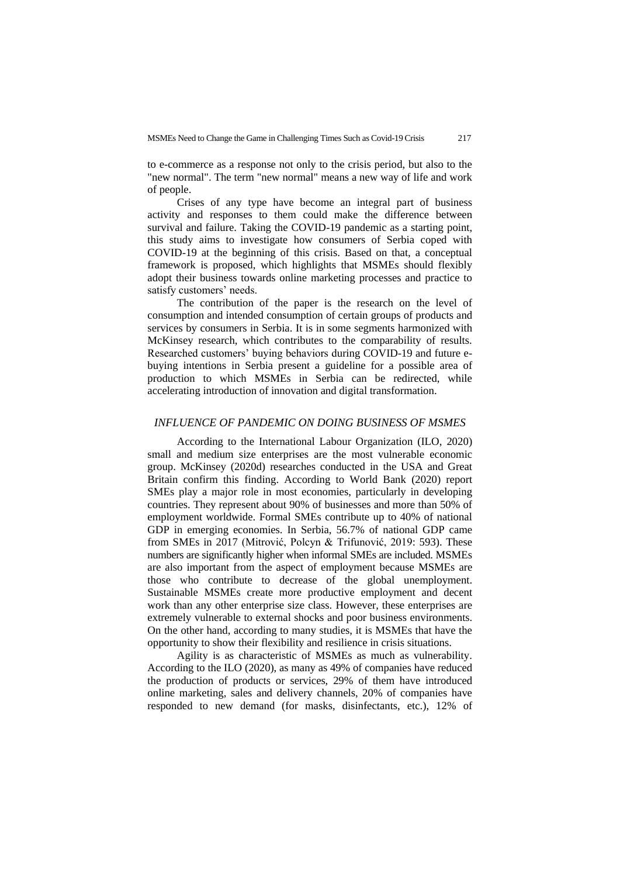to e-commerce as a response not only to the crisis period, but also to the "new normal". The term "new normal" means a new way of life and work of people.

Crises of any type have become an integral part of business activity and responses to them could make the difference between survival and failure. Taking the COVID-19 pandemic as a starting point, this study aims to investigate how consumers of Serbia coped with COVID-19 at the beginning of this crisis. Based on that, a conceptual framework is proposed, which highlights that MSMEs should flexibly adopt their business towards online marketing processes and practice to satisfy customers' needs.

The contribution of the paper is the research on the level of consumption and intended consumption of certain groups of products and services by consumers in Serbia. It is in some segments harmonized with McKinsey research, which contributes to the comparability of results. Researched customers' buying behaviors during COVID-19 and future ebuying intentions in Serbia present a guideline for a possible area of production to which MSMEs in Serbia can be redirected, while accelerating introduction of innovation and digital transformation.

#### *INFLUENCE OF PANDEMIC ON DOING BUSINESS OF MSMES*

According to the International Labour Organization (ILO, 2020) small and medium size enterprises are the most vulnerable economic group. McKinsey (2020d) researches conducted in the USA and Great Britain confirm this finding. According to World Bank (2020) report SMEs play a major role in most economies, particularly in developing countries. They represent about 90% of businesses and more than 50% of employment worldwide. Formal SMEs contribute up to 40% of national GDP in emerging economies. In Serbia, 56.7% of national GDP came from SMEs in 2017 (Mitrović, Polcyn & Trifunović, 2019: 593). These numbers are significantly higher when informal SMEs are included. MSMEs are also important from the aspect of employment because MSMEs are those who contribute to decrease of the global unemployment. Sustainable MSMEs create more productive employment and decent work than any other enterprise size class. However, these enterprises are extremely vulnerable to external shocks and poor business environments. On the other hand, according to many studies, it is MSMEs that have the opportunity to show their flexibility and resilience in crisis situations.

Agility is as characteristic of MSMEs as much as vulnerability. According to the ILO (2020), as many as 49% of companies have reduced the production of products or services, 29% of them have introduced online marketing, sales and delivery channels, 20% of companies have responded to new demand (for masks, disinfectants, etc.), 12% of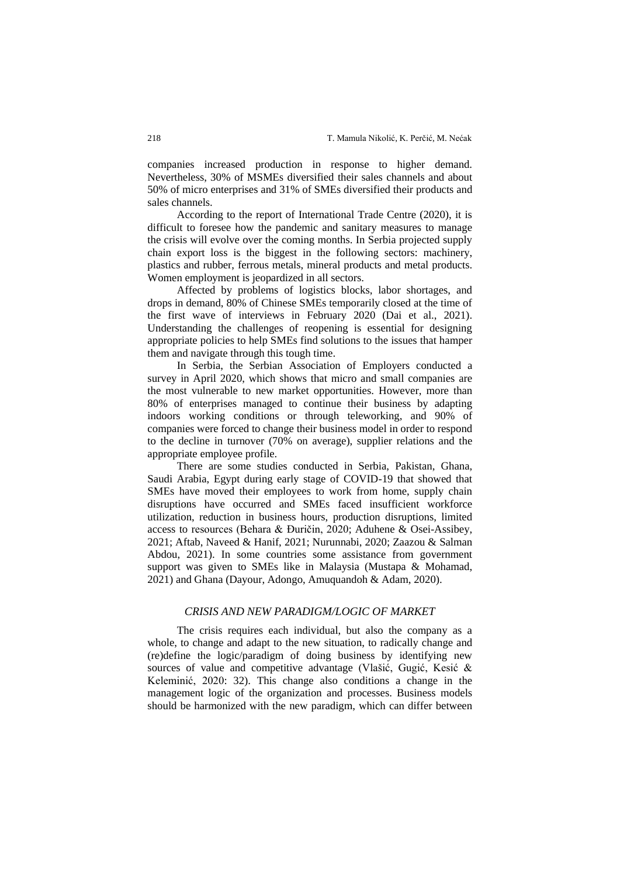companies increased production in response to higher demand. Nevertheless, 30% of MSMEs diversified their sales channels and about 50% of micro enterprises and 31% of SMEs diversified their products and sales channels.

According to the report of International Trade Centre (2020), it is difficult to foresee how the pandemic and sanitary measures to manage the crisis will evolve over the coming months. In Serbia projected supply chain export loss is the biggest in the following sectors: machinery, plastics and rubber, ferrous metals, mineral products and metal products. Women employment is jeopardized in all sectors.

Affected by problems of logistics blocks, labor shortages, and drops in demand, 80% of Chinese SMEs temporarily closed at the time of the first wave of interviews in February 2020 (Dai et al., 2021). Understanding the challenges of reopening is essential for designing appropriate policies to help SMEs find solutions to the issues that hamper them and navigate through this tough time.

In Serbia, the Serbian Association of Employers conducted a survey in April 2020, which shows that micro and small companies are the most vulnerable to new market opportunities. However, more than 80% of enterprises managed to continue their business by adapting indoors working conditions or through teleworking, and 90% of companies were forced to change their business model in order to respond to the decline in turnover (70% on average), supplier relations and the appropriate employee profile.

There are some studies conducted in Serbia, Pakistan, Ghana, Saudi Arabia, Egypt during early stage of COVID-19 that showed that SMEs have moved their employees to work from home, supply chain disruptions have occurred and SMEs faced insufficient workforce utilization, reduction in business hours, production disruptions, limited access to resources (Behara & Đuričin, 2020; Aduhene & Osei-Assibey, 2021; Aftab, Naveed & Hanif, 2021; Nurunnabi, 2020; Zaazou & Salman Abdou, 2021). In some countries some assistance from government support was given to SMEs like in Malaysia (Mustapa & Mohamad, 2021) and Ghana (Dayour, Adongo, Amuquandoh & Adam, 2020).

## *CRISIS AND NEW PARADIGM/LOGIC OF MARKET*

The crisis requires each individual, but also the company as a whole, to change and adapt to the new situation, to radically change and (re)define the logic/paradigm of doing business by identifying new sources of value and competitive advantage (Vlašić, Gugić, Kesić & Keleminić, 2020: 32). This change also conditions a change in the management logic of the organization and processes. Business models should be harmonized with the new paradigm, which can differ between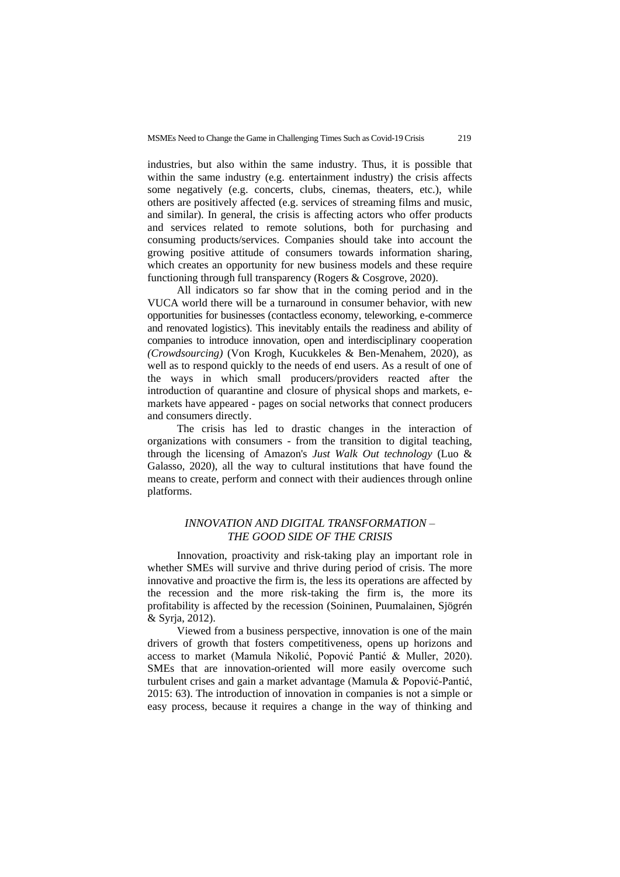industries, but also within the same industry. Thus, it is possible that within the same industry (e.g. entertainment industry) the crisis affects some negatively (e.g. concerts, clubs, cinemas, theaters, etc.), while others are positively affected (e.g. services of streaming films and music, and similar). In general, the crisis is affecting actors who offer products and services related to remote solutions, both for purchasing and consuming products/services. Companies should take into account the growing positive attitude of consumers towards information sharing, which creates an opportunity for new business models and these require functioning through full transparency (Rogers & Cosgrove, 2020).

All indicators so far show that in the coming period and in the VUCA world there will be a turnaround in consumer behavior, with new opportunities for businesses (contactless economy, teleworking, e-commerce and renovated logistics). This inevitably entails the readiness and ability of companies to introduce innovation, open and interdisciplinary cooperation *(Crowdsourcing)* (Von Krogh, Kucukkeles & Ben-Menahem, 2020), as well as to respond quickly to the needs of end users. As a result of one of the ways in which small producers/providers reacted after the introduction of quarantine and closure of physical shops and markets, emarkets have appeared - pages on social networks that connect producers and consumers directly.

The crisis has led to drastic changes in the interaction of organizations with consumers - from the transition to digital teaching, through the licensing of Amazon's *Just Walk Out technology* (Luo & Galasso, 2020), all the way to cultural institutions that have found the means to create, perform and connect with their audiences through online platforms.

## *INNOVATION AND DIGITAL TRANSFORMATION – THE GOOD SIDE OF THE CRISIS*

Innovation, proactivity and risk-taking play an important role in whether SMEs will survive and thrive during period of crisis. The more innovative and proactive the firm is, the less its operations are affected by the recession and the more risk-taking the firm is, the more its profitability is affected by the recession (Soininen, Puumalainen, Sjögrén & Syrja, 2012).

Viewed from a business perspective, innovation is one of the main drivers of growth that fosters competitiveness, opens up horizons and access to market (Mamula Nikolić, Popović Pantić & Muller, 2020). SMEs that are innovation-oriented will more easily overcome such turbulent crises and gain a market advantage (Mamula & Popović-Pantić, 2015: 63). The introduction of innovation in companies is not a simple or easy process, because it requires a change in the way of thinking and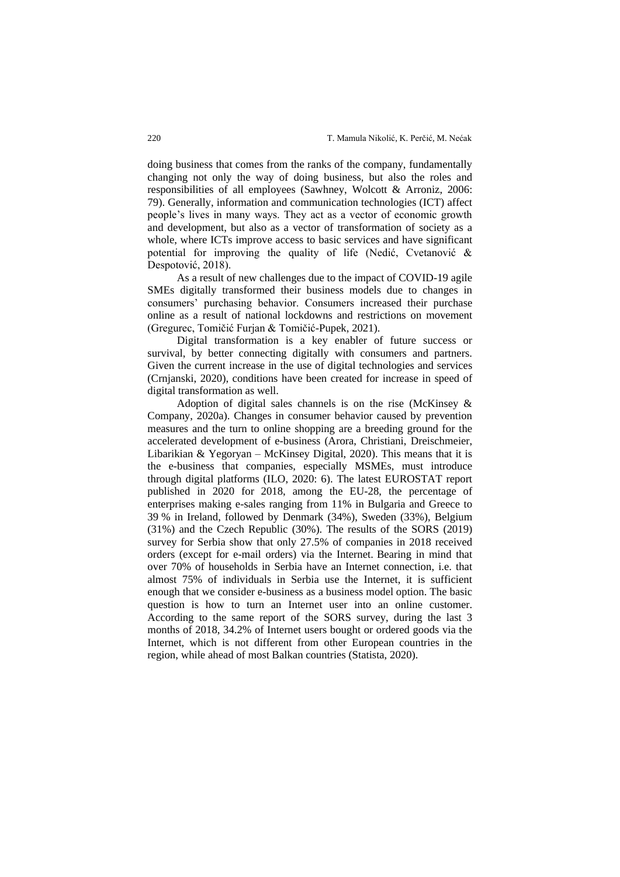doing business that comes from the ranks of the company, fundamentally changing not only the way of doing business, but also the roles and responsibilities of all employees (Sawhney, Wolcott & Arroniz, 2006: 79). Generally, information and communication technologies (ICT) affect people's lives in many ways. They act as a vector of economic growth and development, but also as a vector of transformation of society as a whole, where ICTs improve access to basic services and have significant potential for improving the quality of life (Nedić, Cvetanović & Despotović, 2018).

As a result of new challenges due to the impact of COVID-19 agile SMEs digitally transformed their business models due to changes in consumers' purchasing behavior. Consumers increased their purchase online as a result of national lockdowns and restrictions on movement (Gregurec, Tomičić Furjan & Tomičić-Pupek, 2021).

Digital transformation is a key enabler of future success or survival, by better connecting digitally with consumers and partners. Given the current increase in the use of digital technologies and services (Crnjanski, 2020), conditions have been created for increase in speed of digital transformation as well.

Adoption of digital sales channels is on the rise (McKinsey & Company, 2020a). Changes in consumer behavior caused by prevention measures and the turn to online shopping are a breeding ground for the accelerated development of e-business (Arora, Christiani, Dreischmeier, Libarikian & Yegoryan – McKinsey Digital, 2020). This means that it is the e-business that companies, especially MSMEs, must introduce through digital platforms (ILO, 2020: 6). The latest EUROSTAT report published in 2020 for 2018, among the EU-28, the percentage of enterprises making e-sales ranging from 11% in Bulgaria and Greece to 39 % in Ireland, followed by Denmark (34%), Sweden (33%), Belgium (31%) and the Czech Republic (30%). The results of the SORS (2019) survey for Serbia show that only 27.5% of companies in 2018 received orders (except for e-mail orders) via the Internet. Bearing in mind that over 70% of households in Serbia have an Internet connection, i.e. that almost 75% of individuals in Serbia use the Internet, it is sufficient enough that we consider e-business as a business model option. The basic question is how to turn an Internet user into an online customer. According to the same report of the SORS survey, during the last 3 months of 2018, 34.2% of Internet users bought or ordered goods via the Internet, which is not different from other European countries in the region, while ahead of most Balkan countries (Statista, 2020).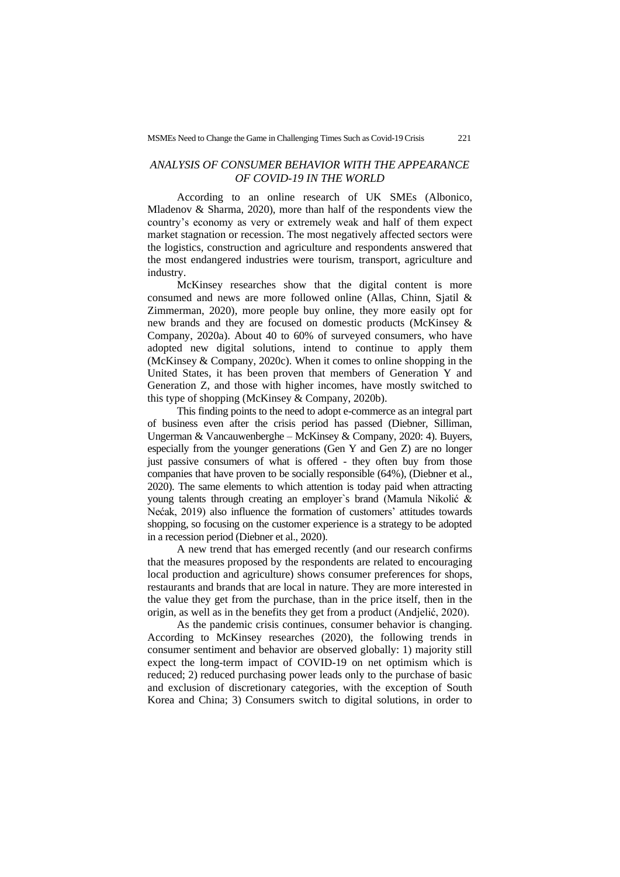### *ANALYSIS OF CONSUMER BEHAVIOR WITH THE APPEARANCE OF COVID-19 IN THE WORLD*

According to an online research of UK SMEs (Albonico, Mladenov & Sharma, 2020), more than half of the respondents view the country's economy as very or extremely weak and half of them expect market stagnation or recession. The most negatively affected sectors were the logistics, construction and agriculture and respondents answered that the most endangered industries were tourism, transport, agriculture and industry.

McKinsey researches show that the digital content is more consumed and news are more followed online (Allas, Chinn, Sjatil & Zimmerman, 2020), more people buy online, they more easily opt for new brands and they are focused on domestic products (McKinsey & Company, 2020a). About 40 to 60% of surveyed consumers, who have adopted new digital solutions, intend to continue to apply them (McKinsey & Company, 2020c). When it comes to online shopping in the United States, it has been proven that members of Generation Y and Generation Z, and those with higher incomes, have mostly switched to this type of shopping (McKinsey & Company, 2020b).

This finding points to the need to adopt e-commerce as an integral part of business even after the crisis period has passed (Diebner, Silliman, Ungerman & Vancauwenberghe – McKinsey & Company, 2020: 4). Buyers, especially from the younger generations (Gen Y and Gen Z) are no longer just passive consumers of what is offered - they often buy from those companies that have proven to be socially responsible (64%), (Diebner et al., 2020). The same elements to which attention is today paid when attracting young talents through creating an employer`s brand (Mamula Nikolić & Nećak, 2019) also influence the formation of customers' attitudes towards shopping, so focusing on the customer experience is a strategy to be adopted in a recession period (Diebner et al., 2020).

A new trend that has emerged recently (and our research confirms that the measures proposed by the respondents are related to encouraging local production and agriculture) shows consumer preferences for shops, restaurants and brands that are local in nature. They are more interested in the value they get from the purchase, than in the price itself, then in the origin, as well as in the benefits they get from a product (Andjelić, 2020).

As the pandemic crisis continues, consumer behavior is changing. According to McKinsey researches (2020), the following trends in consumer sentiment and behavior are observed globally: 1) majority still expect the long-term impact of COVID-19 on net optimism which is reduced; 2) reduced purchasing power leads only to the purchase of basic and exclusion of discretionary categories, with the exception of South Korea and China; 3) Consumers switch to digital solutions, in order to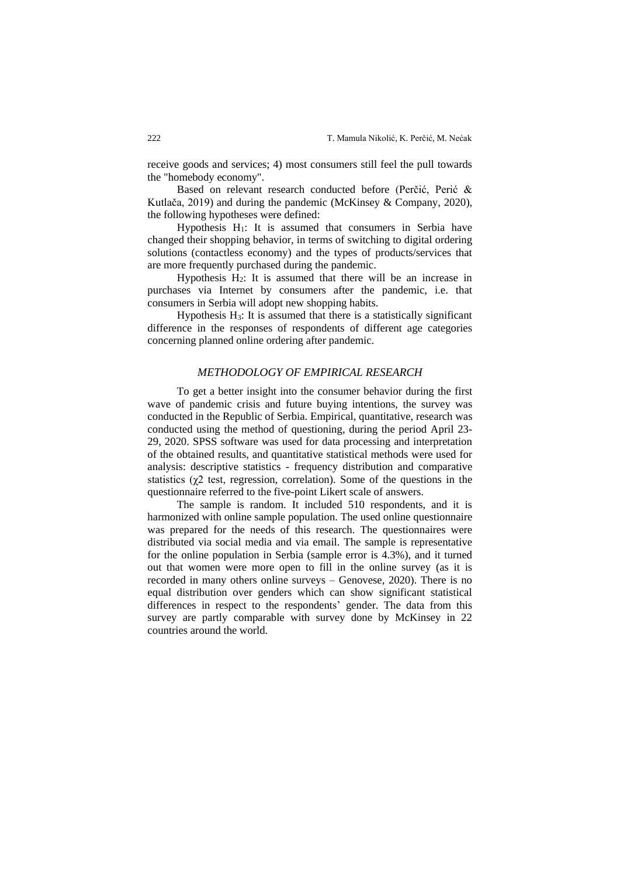receive goods and services; 4) most consumers still feel the pull towards the "homebody economy".

Based on relevant research conducted before (Perčić, Perić & Kutlača, 2019) and during the pandemic (McKinsey & Company, 2020), the following hypotheses were defined:

Hypothesis  $H_1$ : It is assumed that consumers in Serbia have changed their shopping behavior, in terms of switching to digital ordering solutions (contactless economy) and the types of products/services that are more frequently purchased during the pandemic.

Hypothesis  $H_2$ : It is assumed that there will be an increase in purchases via Internet by consumers after the pandemic, i.e. that consumers in Serbia will adopt new shopping habits.

Hypothesis  $H_3$ : It is assumed that there is a statistically significant difference in the responses of respondents of different age categories concerning planned online ordering after pandemic.

## *METHODOLOGY OF EMPIRICAL RESEARCH*

To get a better insight into the consumer behavior during the first wave of pandemic crisis and future buying intentions, the survey was conducted in the Republic of Serbia. Empirical, quantitative, research was conducted using the method of questioning, during the period April 23- 29, 2020. SPSS software was used for data processing and interpretation of the obtained results, and quantitative statistical methods were used for analysis: descriptive statistics - frequency distribution and comparative statistics ( $\chi$ 2 test, regression, correlation). Some of the questions in the questionnaire referred to the five-point Likert scale of answers.

The sample is random. It included 510 respondents, and it is harmonized with online sample population. The used online questionnaire was prepared for the needs of this research. The questionnaires were distributed via social media and via email. The sample is representative for the online population in Serbia (sample error is 4.3%), and it turned out that women were more open to fill in the online survey (as it is recorded in many others online surveys – Genovese, 2020). There is no equal distribution over genders which can show significant statistical differences in respect to the respondents' gender. The data from this survey are partly comparable with survey done by McKinsey in 22 countries around the world.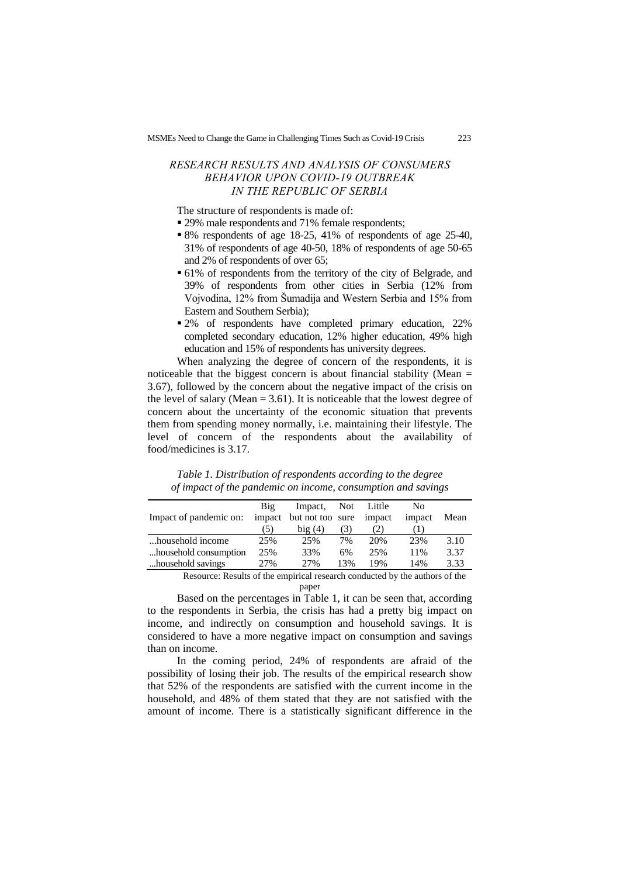## *RESEARCH RESULTS AND ANALYSIS OF CONSUMERS BEHAVIOR UPON COVID-19 OUTBREAK IN THE REPUBLIC OF SERBIA*

The structure of respondents is made of:

- 29% male respondents and 71% female respondents;
- 8% respondents of age 18-25, 41% of respondents of age 25-40, 31% of respondents of age 40-50, 18% of respondents of age 50-65 and 2% of respondents of over 65;
- 61% of respondents from the territory of the city of Belgrade, and 39% of respondents from other cities in Serbia (12% from Vojvodina, 12% from Šumadija and Western Serbia and 15% from Eastern and Southern Serbia);
- 2% of respondents have completed primary education, 22% completed secondary education, 12% higher education, 49% high education and 15% of respondents has university degrees.

When analyzing the degree of concern of the respondents, it is noticeable that the biggest concern is about financial stability (Mean  $=$ 3.67), followed by the concern about the negative impact of the crisis on the level of salary (Mean  $= 3.61$ ). It is noticeable that the lowest degree of concern about the uncertainty of the economic situation that prevents them from spending money normally, i.e. maintaining their lifestyle. The level of concern of the respondents about the availability of food/medicines is 3.17.

| Big | Impact, |     |                         | No         |      |
|-----|---------|-----|-------------------------|------------|------|
|     |         |     | impact                  | impact     | Mean |
| (5) | big(4)  | (3) | (2)                     |            |      |
| 25% | 25%     | 7%  | 20%                     | 23%        | 3.10 |
| 25% | 33%     | 6%  | 25%                     | 11%        | 3.37 |
| 27% | 2.7%    | 13% | 19%                     | 14%        | 3.33 |
|     |         |     | impact but not too sure | Not Little |      |

*Table 1. Distribution of respondents according to the degree of impact of the pandemic on income, consumption and savings*

Resource: Results of the empirical research conducted by the authors of the paper

Based on the percentages in Table 1, it can be seen that, according to the respondents in Serbia, the crisis has had a pretty big impact on income, and indirectly on consumption and household savings. It is considered to have a more negative impact on consumption and savings than on income.

In the coming period, 24% of respondents are afraid of the possibility of losing their job. The results of the empirical research show that 52% of the respondents are satisfied with the current income in the household, and 48% of them stated that they are not satisfied with the amount of income. There is a statistically significant difference in the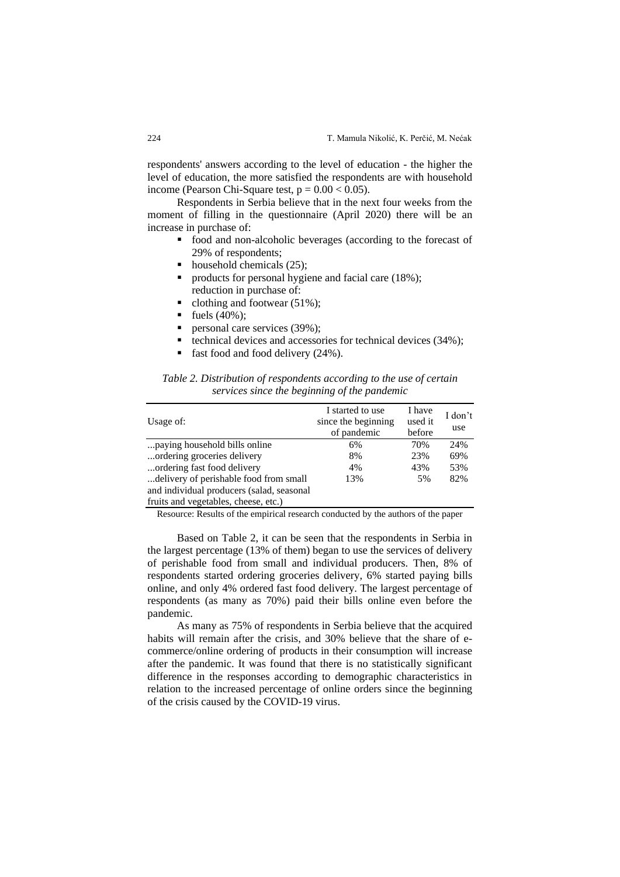respondents' answers according to the level of education - the higher the level of education, the more satisfied the respondents are with household income (Pearson Chi-Square test,  $p = 0.00 < 0.05$ ).

Respondents in Serbia believe that in the next four weeks from the moment of filling in the questionnaire (April 2020) there will be an increase in purchase of:

- food and non-alcoholic beverages (according to the forecast of 29% of respondents;
- $\blacksquare$  household chemicals (25);
- products for personal hygiene and facial care (18%); reduction in purchase of:
- $\blacksquare$  clothing and footwear (51%);
- fuels (40%);<br>■ personal care
- personal care services (39%);
- technical devices and accessories for technical devices (34%);
- fast food and food delivery (24%).

| Table 2. Distribution of respondents according to the use of certain |                                              |  |  |
|----------------------------------------------------------------------|----------------------------------------------|--|--|
|                                                                      | services since the beginning of the pandemic |  |  |

| Usage of:                                 | I started to use<br>since the beginning<br>of pandemic | I have<br>used it<br>before | I don't<br>use |
|-------------------------------------------|--------------------------------------------------------|-----------------------------|----------------|
| paying household bills online             | 6%                                                     | 70%                         | 24%            |
| ordering groceries delivery               | 8%                                                     | 23%                         | 69%            |
| ordering fast food delivery               | 4%                                                     | 43%                         | 53%            |
| delivery of perishable food from small    | 13%                                                    | 5%                          | 82%            |
| and individual producers (salad, seasonal |                                                        |                             |                |
| fruits and vegetables, cheese, etc.)      |                                                        |                             |                |

Resource: Results of the empirical research conducted by the authors of the paper

Based on Table 2, it can be seen that the respondents in Serbia in the largest percentage (13% of them) began to use the services of delivery of perishable food from small and individual producers. Then, 8% of respondents started ordering groceries delivery, 6% started paying bills online, and only 4% ordered fast food delivery. The largest percentage of respondents (as many as 70%) paid their bills online even before the pandemic.

As many as 75% of respondents in Serbia believe that the acquired habits will remain after the crisis, and 30% believe that the share of ecommerce/online ordering of products in their consumption will increase after the pandemic. It was found that there is no statistically significant difference in the responses according to demographic characteristics in relation to the increased percentage of online orders since the beginning of the crisis caused by the COVID-19 virus.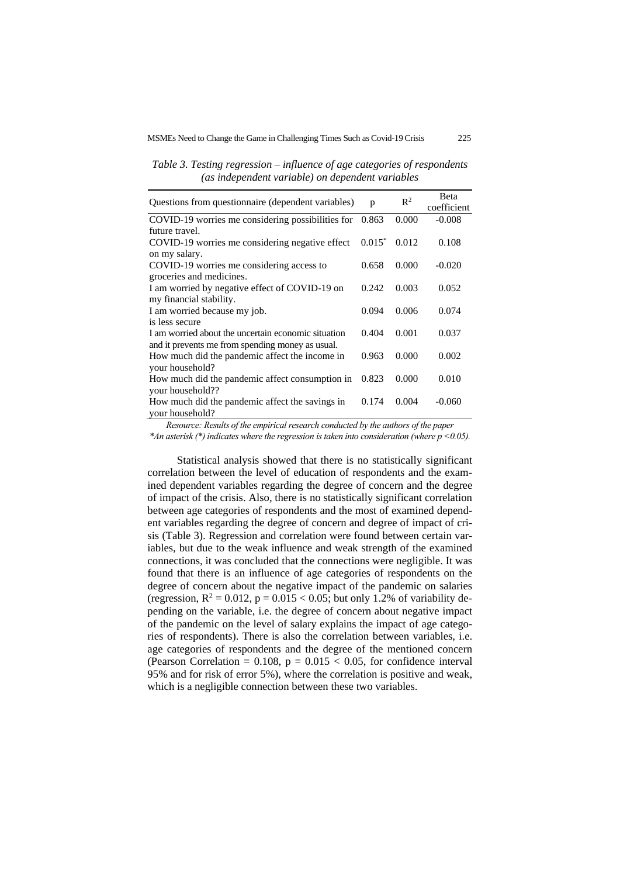*Table 3. Testing regression – influence of age categories of respondents (as independent variable) on dependent variables*

| Questions from questionnaire (dependent variables)  | p         | $\mathbb{R}^2$ | <b>B</b> eta<br>coefficient |
|-----------------------------------------------------|-----------|----------------|-----------------------------|
| COVID-19 worries me considering possibilities for   | 0.863     | 0.000          | $-0.008$                    |
| future travel.                                      |           |                |                             |
| COVID-19 worries me considering negative effect     | $0.015^*$ | 0.012          | 0.108                       |
| on my salary.                                       |           |                |                             |
| COVID-19 worries me considering access to           | 0.658     | 0.000          | $-0.020$                    |
| groceries and medicines.                            |           |                |                             |
| I am worried by negative effect of COVID-19 on      | 0.242     | 0.003          | 0.052                       |
| my financial stability.                             |           |                |                             |
| I am worried because my job.                        | 0.094     | 0.006          | 0.074                       |
| is less secure                                      |           |                |                             |
| I am worried about the uncertain economic situation | 0.404     | 0.001          | 0.037                       |
| and it prevents me from spending money as usual.    |           |                |                             |
| How much did the pandemic affect the income in      | 0.963     | 0.000          | 0.002                       |
| your household?                                     |           |                |                             |
| How much did the pandemic affect consumption in     | 0.823     | 0.000          | 0.010                       |
| your household??                                    |           |                |                             |
| How much did the pandemic affect the savings in     | 0.174     | 0.004          | $-0.060$                    |
| your household?                                     |           |                |                             |

*Resource: Results of the empirical research conducted by the authors of the paper*

*\*An asterisk (\*) indicates where the regression is taken into consideration (where p <0.05).*

Statistical analysis showed that there is no statistically significant correlation between the level of education of respondents and the examined dependent variables regarding the degree of concern and the degree of impact of the crisis. Also, there is no statistically significant correlation between age categories of respondents and the most of examined dependent variables regarding the degree of concern and degree of impact of crisis (Table 3). Regression and correlation were found between certain variables, but due to the weak influence and weak strength of the examined connections, it was concluded that the connections were negligible. It was found that there is an influence of age categories of respondents on the degree of concern about the negative impact of the pandemic on salaries (regression,  $R^2 = 0.012$ ,  $p = 0.015 < 0.05$ ; but only 1.2% of variability depending on the variable, i.e. the degree of concern about negative impact of the pandemic on the level of salary explains the impact of age categories of respondents). There is also the correlation between variables, i.e. age categories of respondents and the degree of the mentioned concern (Pearson Correlation =  $0.108$ ,  $p = 0.015 < 0.05$ , for confidence interval 95% and for risk of error 5%), where the correlation is positive and weak, which is a negligible connection between these two variables.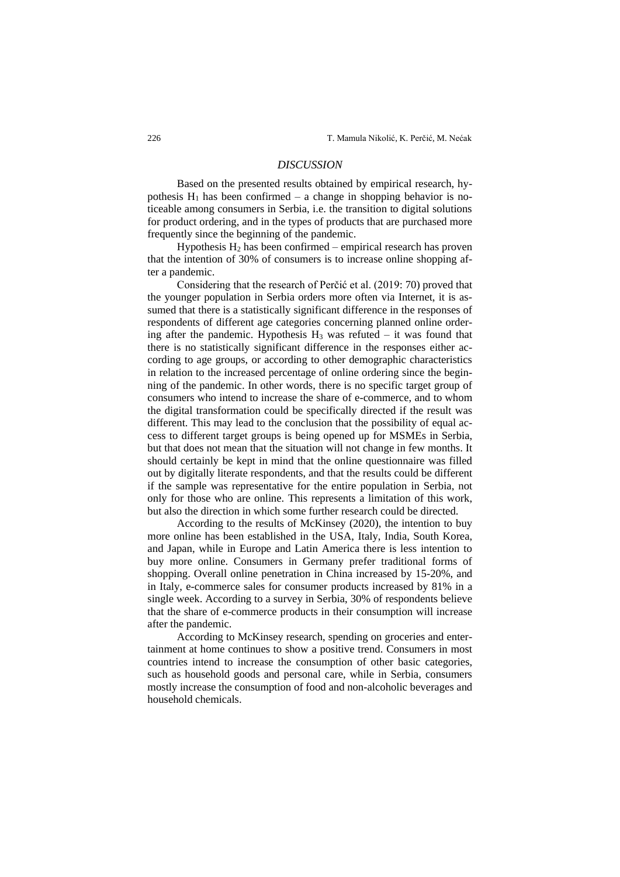## *DISCUSSION*

Based on the presented results obtained by empirical research, hypothesis  $H_1$  has been confirmed – a change in shopping behavior is noticeable among consumers in Serbia, i.e. the transition to digital solutions for product ordering, and in the types of products that are purchased more frequently since the beginning of the pandemic.

Hypothesis  $H_2$  has been confirmed – empirical research has proven that the intention of 30% of consumers is to increase online shopping after a pandemic.

Considering that the research of Perčić et al. (2019: 70) proved that the younger population in Serbia orders more often via Internet, it is assumed that there is a statistically significant difference in the responses of respondents of different age categories concerning planned online ordering after the pandemic. Hypothesis  $H_3$  was refuted – it was found that there is no statistically significant difference in the responses either according to age groups, or according to other demographic characteristics in relation to the increased percentage of online ordering since the beginning of the pandemic. In other words, there is no specific target group of consumers who intend to increase the share of e-commerce, and to whom the digital transformation could be specifically directed if the result was different. This may lead to the conclusion that the possibility of equal access to different target groups is being opened up for MSMEs in Serbia, but that does not mean that the situation will not change in few months. It should certainly be kept in mind that the online questionnaire was filled out by digitally literate respondents, and that the results could be different if the sample was representative for the entire population in Serbia, not only for those who are online. This represents a limitation of this work, but also the direction in which some further research could be directed.

According to the results of McKinsey (2020), the intention to buy more online has been established in the USA, Italy, India, South Korea, and Japan, while in Europe and Latin America there is less intention to buy more online. Consumers in Germany prefer traditional forms of shopping. Overall online penetration in China increased by 15-20%, and in Italy, e-commerce sales for consumer products increased by 81% in a single week. According to a survey in Serbia, 30% of respondents believe that the share of e-commerce products in their consumption will increase after the pandemic.

According to McKinsey research, spending on groceries and entertainment at home continues to show a positive trend. Consumers in most countries intend to increase the consumption of other basic categories, such as household goods and personal care, while in Serbia, consumers mostly increase the consumption of food and non-alcoholic beverages and household chemicals.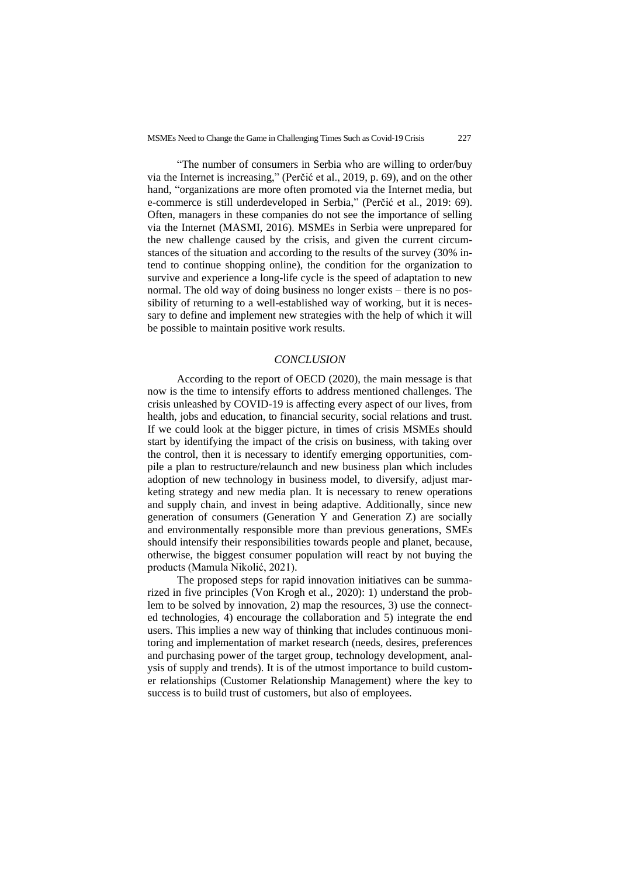"The number of consumers in Serbia who are willing to order/buy via the Internet is increasing," (Perčić et al., 2019, p. 69), and on the other hand, "organizations are more often promoted via the Internet media, but e-commerce is still underdeveloped in Serbia," (Perčić et al., 2019: 69). Often, managers in these companies do not see the importance of selling via the Internet (MASMI, 2016). MSMEs in Serbia were unprepared for the new challenge caused by the crisis, and given the current circumstances of the situation and according to the results of the survey (30% intend to continue shopping online), the condition for the organization to survive and experience a long-life cycle is the speed of adaptation to new normal. The old way of doing business no longer exists – there is no possibility of returning to a well-established way of working, but it is necessary to define and implement new strategies with the help of which it will be possible to maintain positive work results.

#### *CONCLUSION*

According to the report of OECD (2020), the main message is that now is the time to intensify efforts to address mentioned challenges. The crisis unleashed by COVID-19 is affecting every aspect of our lives, from health, jobs and education, to financial security, social relations and trust. If we could look at the bigger picture, in times of crisis MSMEs should start by identifying the impact of the crisis on business, with taking over the control, then it is necessary to identify emerging opportunities, compile a plan to restructure/relaunch and new business plan which includes adoption of new technology in business model, to diversify, adjust marketing strategy and new media plan. It is necessary to renew operations and supply chain, and invest in being adaptive. Additionally, since new generation of consumers (Generation Y and Generation Z) are socially and environmentally responsible more than previous generations, SMEs should intensify their responsibilities towards people and planet, because, otherwise, the biggest consumer population will react by not buying the products (Mamula Nikolić, 2021).

The proposed steps for rapid innovation initiatives can be summarized in five principles (Von Krogh et al., 2020): 1) understand the problem to be solved by innovation, 2) map the resources, 3) use the connected technologies, 4) encourage the collaboration and 5) integrate the end users. This implies a new way of thinking that includes continuous monitoring and implementation of market research (needs, desires, preferences and purchasing power of the target group, technology development, analysis of supply and trends). It is of the utmost importance to build customer relationships (Customer Relationship Management) where the key to success is to build trust of customers, but also of employees.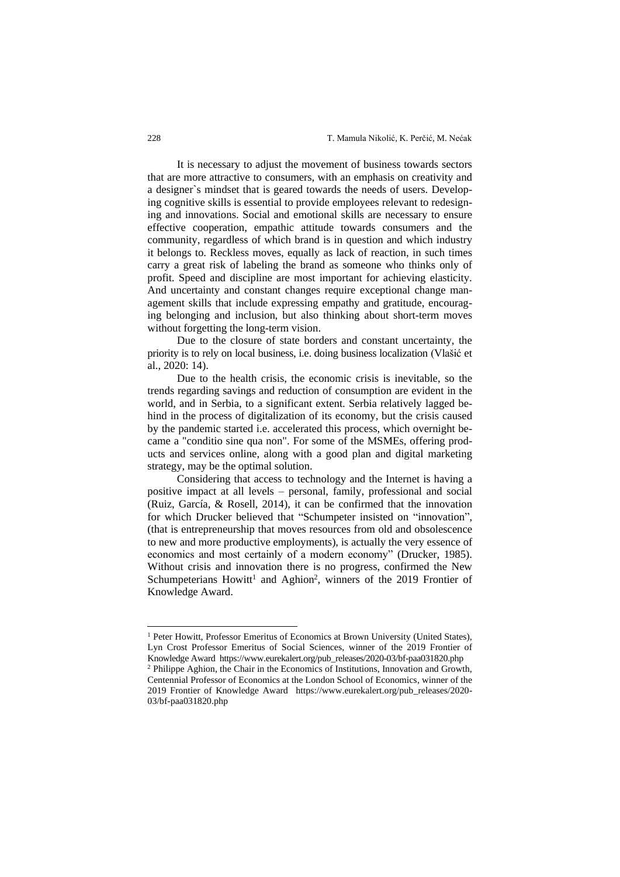It is necessary to adjust the movement of business towards sectors that are more attractive to consumers, with an emphasis on creativity and a designer`s mindset that is geared towards the needs of users. Developing cognitive skills is essential to provide employees relevant to redesigning and innovations. Social and emotional skills are necessary to ensure effective cooperation, empathic attitude towards consumers and the community, regardless of which brand is in question and which industry it belongs to. Reckless moves, equally as lack of reaction, in such times carry a great risk of labeling the brand as someone who thinks only of profit. Speed and discipline are most important for achieving elasticity. And uncertainty and constant changes require exceptional change management skills that include expressing empathy and gratitude, encouraging belonging and inclusion, but also thinking about short-term moves without forgetting the long-term vision.

Due to the closure of state borders and constant uncertainty, the priority is to rely on local business, i.e. doing business localization (Vlašić et al., 2020: 14).

Due to the health crisis, the economic crisis is inevitable, so the trends regarding savings and reduction of consumption are evident in the world, and in Serbia, to a significant extent. Serbia relatively lagged behind in the process of digitalization of its economy, but the crisis caused by the pandemic started i.e. accelerated this process, which overnight became a "conditio sine qua non". For some of the MSMEs, offering products and services online, along with a good plan and digital marketing strategy, may be the optimal solution.

Considering that access to technology and the Internet is having a positive impact at all levels – personal, family, professional and social (Ruiz, García, & Rosell, 2014), it can be confirmed that the innovation for which Drucker believed that "Schumpeter insisted on "innovation", (that is entrepreneurship that moves resources from old and obsolescence to new and more productive employments), is actually the very essence of economics and most certainly of a modern economy" (Drucker, 1985). Without crisis and innovation there is no progress, confirmed the New Schumpeterians Howitt<sup>1</sup> and Aghion<sup>2</sup>, winners of the 2019 Frontier of Knowledge Award.

<sup>&</sup>lt;sup>1</sup> Peter Howitt, Professor Emeritus of Economics at Brown University (United States), Lyn Crost Professor Emeritus of Social Sciences, winner of the 2019 Frontier of Knowledge Award [https://www.eurekalert.org/pub\\_releases/2020-03/bf-paa031820.php](https://www.eurekalert.org/pub_releases/2020-03/bf-paa031820.php)

<sup>2</sup> Philippe Aghion, the Chair in the Economics of Institutions, Innovation and Growth, Centennial Professor of Economics at the London School of Economics, winner of the 2019 Frontier of Knowledge Award [https://www.eurekalert.org/pub\\_releases/2020-](https://www.eurekalert.org/pub_releases/2020-03/bf-paa031820.php) [03/bf-paa031820.php](https://www.eurekalert.org/pub_releases/2020-03/bf-paa031820.php)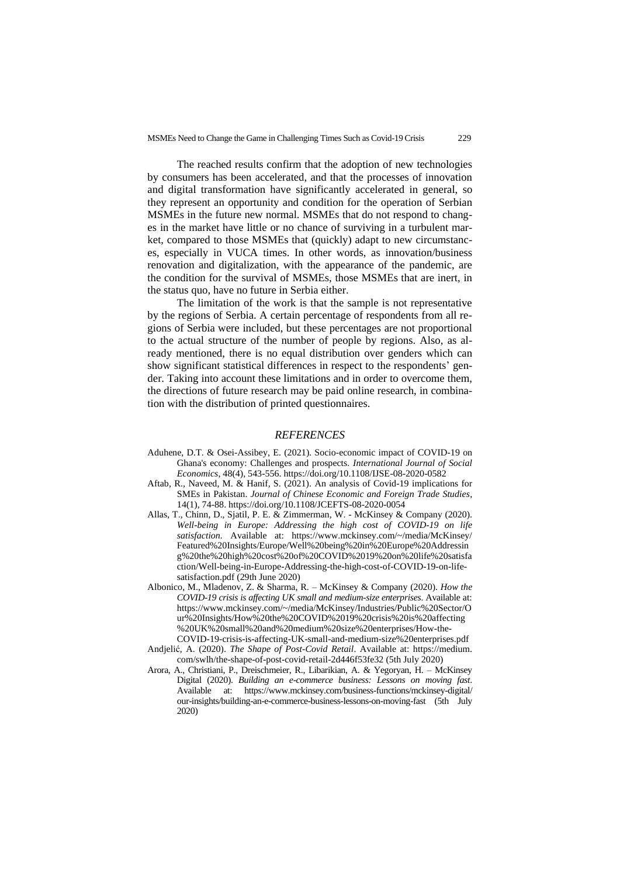The reached results confirm that the adoption of new technologies by consumers has been accelerated, and that the processes of innovation and digital transformation have significantly accelerated in general, so they represent an opportunity and condition for the operation of Serbian MSMEs in the future new normal. MSMEs that do not respond to changes in the market have little or no chance of surviving in a turbulent market, compared to those MSMEs that (quickly) adapt to new circumstances, especially in VUCA times. In other words, as innovation/business renovation and digitalization, with the appearance of the pandemic, are the condition for the survival of MSMEs, those MSMEs that are inert, in the status quo, have no future in Serbia either.

The limitation of the work is that the sample is not representative by the regions of Serbia. A certain percentage of respondents from all regions of Serbia were included, but these percentages are not proportional to the actual structure of the number of people by regions. Also, as already mentioned, there is no equal distribution over genders which can show significant statistical differences in respect to the respondents' gender. Taking into account these limitations and in order to overcome them, the directions of future research may be paid online research, in combination with the distribution of printed questionnaires.

#### *REFERENCES*

- Aduhene, D.T. & Osei-Assibey, E. (2021). Socio-economic impact of COVID-19 on Ghana's economy: Challenges and prospects. *International Journal of Social Economics*, 48(4), 543-556. https://doi.org/10.1108/IJSE-08-2020-0582
- Aftab, R., Naveed, M. & Hanif, S. (2021). An analysis of Covid-19 implications for SMEs in Pakistan. *Journal of Chinese Economic and Foreign Trade Studies*, 14(1), 74-88. https://doi.org/10.1108/JCEFTS-08-2020-0054
- Allas, T., Chinn, D., Sjatil, P. E. & Zimmerman, W. McKinsey & Company (2020). *Well-being in Europe: Addressing the high cost of COVID-19 on life satisfaction.* Available at: https://www.mckinsey.com/~/media/McKinsey/ Featured%20Insights/Europe/Well%20being%20in%20Europe%20Addressin g%20the%20high%20cost%20of%20COVID%2019%20on%20life%20satisfa ction/Well-being-in-Europe-Addressing-the-high-cost-of-COVID-19-on-lifesatisfaction.pdf (29th June 2020)
- Albonico, M., Mladenov, Z. & Sharma, R. McKinsey & Company (2020). *How the COVID-19 crisis is affecting UK small and medium-size enterprises*. Available at: https://www.mckinsey.com/~/media/McKinsey/Industries/Public%20Sector/O ur%20Insights/How%20the%20COVID%2019%20crisis%20is%20affecting %20UK%20small%20and%20medium%20size%20enterprises/How-the-COVID-19-crisis-is-affecting-UK-small-and-medium-size%20enterprises.pdf
- Andjelić, A. (2020). *The Shape of Post-Covid Retail*. Available at: https://medium. com/swlh/the-shape-of-post-covid-retail-2d446f53fe32 (5th July 2020)
- Arora, A., Christiani, P., Dreischmeier, R., Libarikian, A. & Yegoryan, H. McKinsey Digital (2020). *Building an e-commerce business: Lessons on moving fast*. Available at: https://www.mckinsey.com/business-functions/mckinsey-digital/ our-insights/building-an-e-commerce-business-lessons-on-moving-fast (5th July 2020)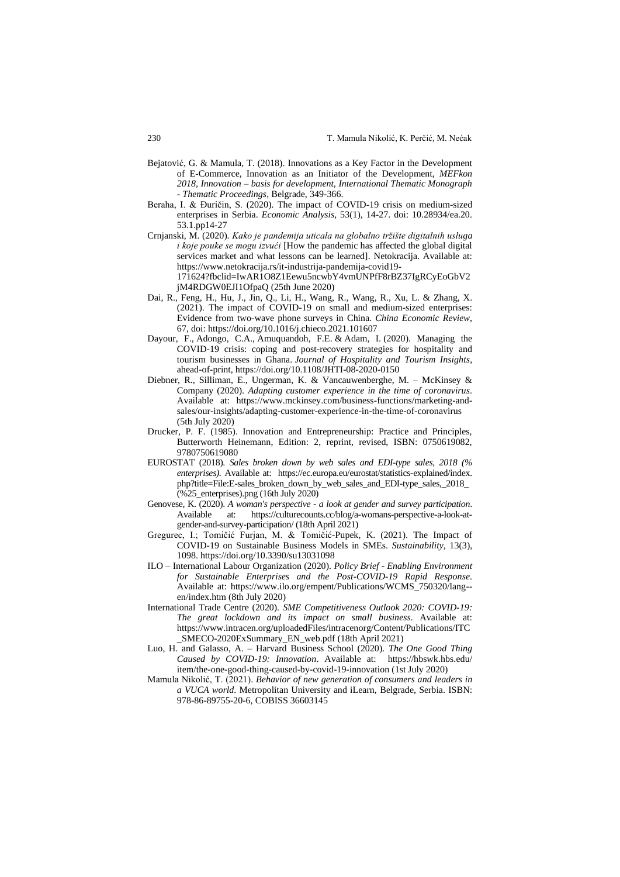- Bejatović, G. & Mamula, T. (2018). Innovations as a Key Factor in the Development of E-Commerce, Innovation as an Initiator of the Development, *MEFkon 2018, Innovation – basis for development, International Thematic Monograph - Thematic Proceedings*, Belgrade, 349-366.
- Beraha, I. & Đuričin, S. (2020). The impact of COVID-19 crisis on medium-sized enterprises in Serbia. *Economic Analysis*, 53(1), 14-27. doi: 10.28934/ea.20. 53.1.pp14-27
- Crnjanski, M. (2020). *Kako je pandemija uticala na globalno tržište digitalnih usluga i koje pouke se mogu izvući* [How the pandemic has affected the global digital services market and what lessons can be learned]. Netokracija. Available at: https://www.netokracija.rs/it-industrija-pandemija-covid19- 171624?fbclid=IwAR1O8Z1Eewu5ncwbY4vmUNPfF8rBZ37IgRCyEoGbV2 jM4RDGW0EJI1OfpaQ (25th June 2020)
- Dai, R., Feng, H., Hu, J., Jin, Q., Li, H., Wang, R., Wang, R., Xu, L. & Zhang, X. (2021). The impact of COVID-19 on small and medium-sized enterprises: Evidence from two-wave phone surveys in China. *China Economic Review*, 67, doi:<https://doi.org/10.1016/j.chieco.2021.101607>
- Dayour, F., Adongo, C.A., Amuquandoh, F.E. & Adam, I. (2020). Managing the COVID-19 crisis: coping and post-recovery strategies for hospitality and tourism businesses in Ghana. *Journal of Hospitality and Tourism Insights*, ahead-of-print,<https://doi.org/10.1108/JHTI-08-2020-0150>
- Diebner, R., Silliman, E., Ungerman, K. & Vancauwenberghe, M. McKinsey & Company (2020). *Adapting customer experience in the time of coronavirus*. Available at: https://www.mckinsey.com/business-functions/marketing-andsales/our-insights/adapting-customer-experience-in-the-time-of-coronavirus (5th July 2020)
- Drucker, P. F. (1985). Innovation and Entrepreneurship: Practice and Principles, Butterworth Heinemann, Edition: 2, reprint, revised, ISBN: 0750619082, 9780750619080
- EUROSTAT (2018). *Sales broken down by web sales and EDI-type sales, 2018 (% enterprises).* Available at: https://ec.europa.eu/eurostat/statistics-explained/index. php?title=File:E-sales\_broken\_down\_by\_web\_sales\_and\_EDI-type\_sales,\_2018\_ (%25\_enterprises).png (16th July 2020)
- Genovese, K. (2020). *A woman's perspective - a look at gender and survey participation*. Available at: [https://culturecounts.cc/blog/a-womans-perspective-a-look-at](https://culturecounts.cc/blog/a-womans-perspective-a-look-at-gender-and-survey-participation/)[gender-and-survey-participation/](https://culturecounts.cc/blog/a-womans-perspective-a-look-at-gender-and-survey-participation/) (18th April 2021)
- Gregurec, I.; Tomičić Furjan, M. & Tomičić-Pupek, K. (2021). The Impact of COVID-19 on Sustainable Business Models in SMEs. *Sustainability*, 13(3), 1098. https://doi.org/10.3390/su13031098
- ILO International Labour Organization (2020). *Policy Brief - Enabling Environment for Sustainable Enterprises and the Post-COVID-19 Rapid Response*. Available at: https://www.ilo.org/empent/Publications/WCMS\_750320/lang- en/index.htm (8th July 2020)
- International Trade Centre (2020). *SME Competitiveness Outlook 2020: COVID-19: The great lockdown and its impact on small business*. Available at: [https://www.intracen.org/uploadedFiles/intracenorg/Content/Publications/ITC](https://www.intracen.org/uploadedFiles/intracenorg/Content/Publications/ITC_SMECO-2020ExSummary_EN_web.pdf) [\\_SMECO-2020ExSummary\\_EN\\_web.pdf](https://www.intracen.org/uploadedFiles/intracenorg/Content/Publications/ITC_SMECO-2020ExSummary_EN_web.pdf) (18th April 2021)
- Luo, H. and Galasso, A. Harvard Business School (2020). *The One Good Thing Caused by COVID-19: Innovation*. Available at: https://hbswk.hbs.edu/ item/the-one-good-thing-caused-by-covid-19-innovation (1st July 2020)
- Mamula Nikolić, T. (2021). *Behavior of new generation of consumers and leaders in a VUCA world*. Metropolitan University and iLearn, Belgrade, Serbia. ISBN: 978-86-89755-20-6, COBISS 36603145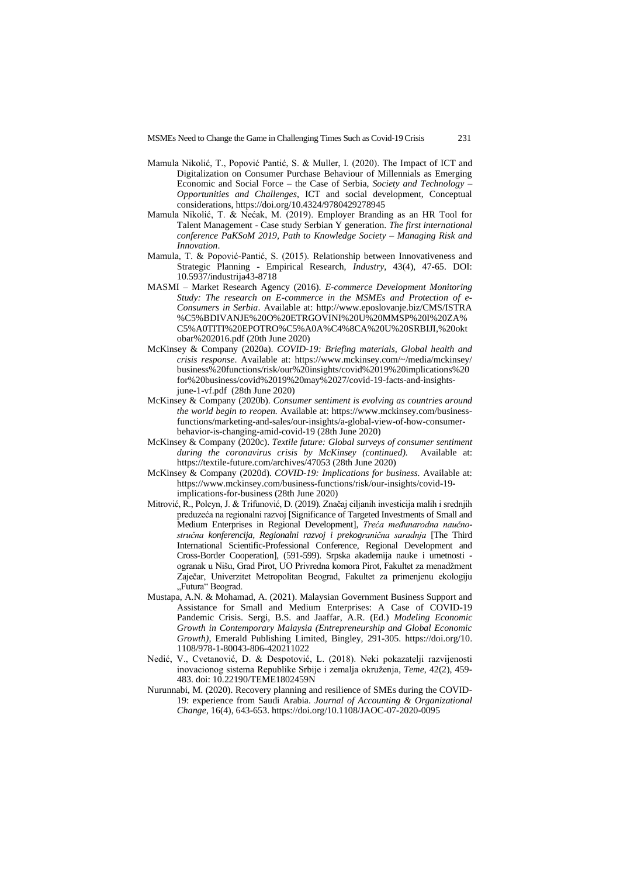- Mamula Nikolić, T., Popović Pantić, S. & Muller, I. (2020). The Impact of ICT and Digitalization on Consumer Purchase Behaviour of Millennials as Emerging Economic and Social Force – the Case of Serbia, *Society and Technology* – *Opportunities and Challenges*, ICT and social development, Conceptual considerations[, https://doi.org/10.4324/9780429278945](https://doi.org/10.4324/9780429278945)
- Mamula Nikolić, T. & Nećak, M. (2019). Employer Branding as an HR Tool for Talent Management - Case study Serbian Y generation. *The first international conference PaKSoM 2019, Path to Knowledge Society – Managing Risk and Innovation*.
- Mamula, T. & Popović-Pantić, S. (2015). Relationship between Innovativeness and Strategic Planning - Empirical Research, *Industry*, 43(4), 47-65. DOI: 10.5937/industrija43-8718
- MASMI Market Research Agency (2016). *E-commerce Development Monitoring Study: The research on E-commerce in the MSMEs and Protection of e-Consumers in Serbia*. Available at: http://www.eposlovanje.biz/CMS/ISTRA %C5%BDIVANJE%20O%20ETRGOVINI%20U%20MMSP%20I%20ZA% C5%A0TITI%20EPOTRO%C5%A0A%C4%8CA%20U%20SRBIJI,%20okt obar%202016.pdf (20th June 2020)
- McKinsey & Company (2020a). *COVID-19: Briefing materials, Global health and crisis response*. Available at: https://www.mckinsey.com/~/media/mckinsey/ business%20functions/risk/our%20insights/covid%2019%20implications%20 for%20business/covid%2019%20may%2027/covid-19-facts-and-insightsjune-1-vf.pdf (28th June 2020)
- McKinsey & Company (2020b). *Consumer sentiment is evolving as countries around the world begin to reopen.* Available at: https://www.mckinsey.com/businessfunctions/marketing-and-sales/our-insights/a-global-view-of-how-consumerbehavior-is-changing-amid-covid-19 (28th June 2020)
- McKinsey & Company (2020c). *Textile future: Global surveys of consumer sentiment*  during the coronavirus crisis by McKinsey (continued). https://textile-future.com/archives/47053 (28th June 2020)
- McKinsey & Company (2020d). *COVID-19: Implications for business.* Available at: https://www.mckinsey.com/business-functions/risk/our-insights/covid-19 implications-for-business (28th June 2020)
- Mitrović, R., Polcyn, J. & Trifunović, D. (2019). Značaj ciljanih investicija malih i srednjih preduzeća na regionalni razvoj [Significance of Targeted Investments of Small and Medium Enterprises in Regional Development], *Treća međunarodna naučnostručna konferencija, Regionalni razvoj i prekogranična saradnja* [The Third International Scientific-Professional Conference, Regional Development and Cross-Border Cooperation], (591-599). Srpska akademija nauke i umetnosti ogranak u Nišu, Grad Pirot, UO Privredna komora Pirot, Fakultet za menadžment Zaječar, Univerzitet Metropolitan Beograd, Fakultet za primenjenu ekologiju "Futura" Beograd.
- Mustapa, A.N. & Mohamad, A. (2021). Malaysian Government Business Support and Assistance for Small and Medium Enterprises: A Case of COVID-19 Pandemic Crisis. Sergi, B.S. and Jaaffar, A.R. (Ed.) *Modeling Economic Growth in Contemporary Malaysia (Entrepreneurship and Global Economic Growth)*, Emerald Publishing Limited, Bingley, 291-305. https://doi.org/10. 1108/978-1-80043-806-420211022
- Nedić, V., Cvetanović, D. & Despotović, L. (2018). Neki pokazatelji razvijenosti inovacionog sistema Republike Srbije i zemalja okruženja, *Teme*, 42(2), 459- 483. doi: 10.22190/TEME1802459N
- Nurunnabi, M. (2020). Recovery planning and resilience of SMEs during the COVID-19: experience from Saudi Arabia. *Journal of Accounting & Organizational Change*, 16(4), 643-653. https://doi.org/10.1108/JAOC-07-2020-0095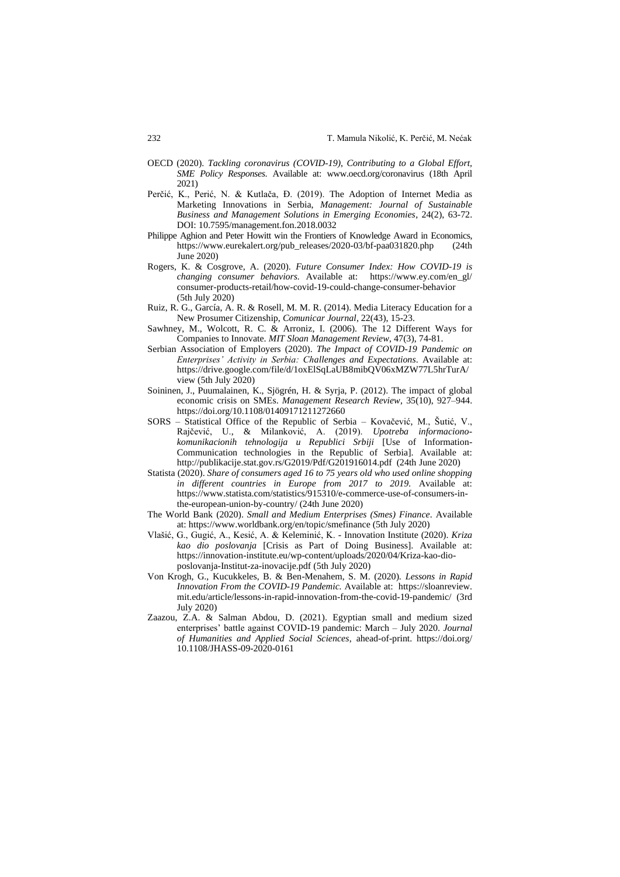- OECD (2020). *Tackling coronavirus (COVID-19)*, *Contributing to a Global Effort, SME Policy Responses*. Available at: [www.oecd.org/coronavirus](http://www.oecd.org/coronavirus) (18th April 2021)
- Perčić, K., Perić, N. & Kutlača, Đ. (2019). The Adoption of Internet Media as Marketing Innovations in Serbia, *Management: Journal of Sustainable Business and Management Solutions in Emerging Economies*, 24(2), 63-72. DOI: 10.7595/management.fon.2018.0032
- Philippe Aghion and Peter Howitt win the Frontiers of Knowledge Award in Economics, [https://www.eurekalert.org/pub\\_releases/2020-03/bf-paa031820.php](https://www.eurekalert.org/pub_releases/2020-03/bf-paa031820.php) (24th June 2020)
- Rogers, K. & Cosgrove, A. (2020). *Future Consumer Index: How COVID-19 is changing consumer behaviors.* Available at: https://www.ey.com/en\_gl/ consumer-products-retail/how-covid-19-could-change-consumer-behavior (5th July 2020)
- Ruiz, R. G., García, A. R. & Rosell, M. M. R. (2014). Media Literacy Education for a New Prosumer Citizenship, *Comunicar Journal*, 22(43), 15-23.
- Sawhney, M., Wolcott, R. C. & Arroniz, I. (2006). The 12 Different Ways for Companies to Innovate. *MIT Sloan Management Review*, 47(3), 74-81.
- Serbian Association of Employers (2020). *The Impact of COVID-19 Pandemic on Enterprises' Activity in Serbia: Challenges and Expectations*. Available at: https://drive.google.com/file/d/1oxElSqLaUB8mibQV06xMZW77L5hrTurA/ view (5th July 2020)
- Soininen, J., Puumalainen, K., Sjögrén, H. & Syrja, P. (2012). The impact of global economic crisis on SMEs. *Management Research Review*, 35(10), 927–944. https://doi.org/10.1108/01409171211272660
- SORS Statistical Office of the Republic of Serbia Kovačević, M., Šutić, V., Rajčević, U., & Milanković, A. (2019). *Upotreba informacionokomunikacionih tehnologija u Republici Srbiji* [Use of Information-Communication technologies in the Republic of Serbia]. Available at: http://publikacije.stat.gov.rs/G2019/Pdf/G201916014.pdf (24th June 2020)
- Statista (2020). *Share of consumers aged 16 to 75 years old who used online shopping in different countries in Europe from 2017 to 2019.* Available at: https://www.statista.com/statistics/915310/e-commerce-use-of-consumers-inthe-european-union-by-country/ (24th June 2020)
- The World Bank (2020). *Small and Medium Enterprises (Smes) Finance*. Available at: https://www.worldbank.org/en/topic/smefinance (5th July 2020)
- Vlašić, G., Gugić, A., Kesić, A. & Keleminić, K. Innovation Institute (2020). *Kriza kao dio poslovanja* [Crisis as Part of Doing Business]. Available at: https://innovation-institute.eu/wp-content/uploads/2020/04/Kriza-kao-dioposlovanja-Institut-za-inovacije.pdf (5th July 2020)
- Von Krogh, G., Kucukkeles, B. & Ben-Menahem, S. M. (2020). *Lessons in Rapid Innovation From the COVID-19 Pandemic.* Available at: https://sloanreview. mit.edu/article/lessons-in-rapid-innovation-from-the-covid-19-pandemic/ (3rd July 2020)
- Zaazou, Z.A. & Salman Abdou, D. (2021). Egyptian small and medium sized enterprises' battle against COVID-19 pandemic: March – July 2020. *Journal of Humanities and Applied Social Sciences*, ahead-of-print. https://doi.org/ 10.1108/JHASS-09-2020-0161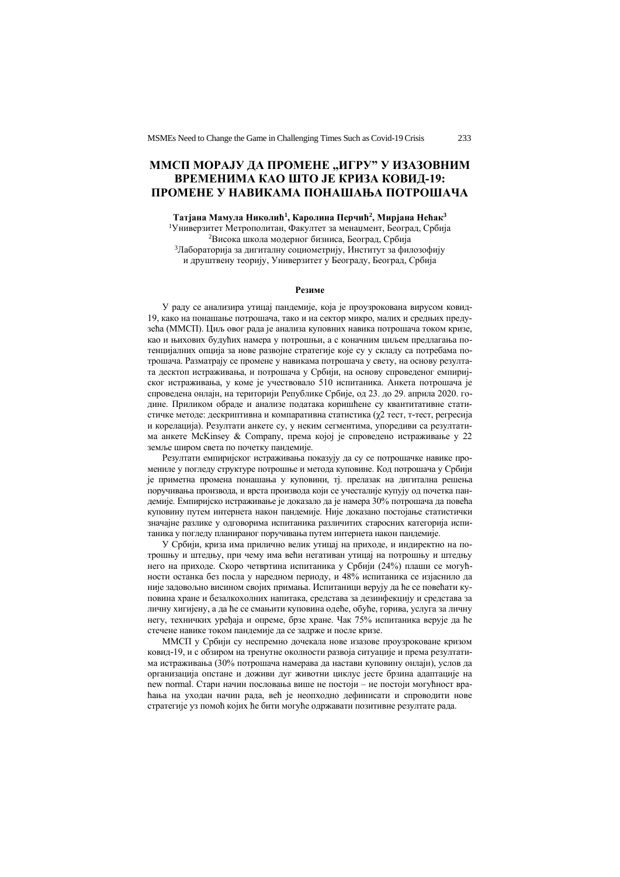## ММСП МОРАЈУ ДА ПРОМЕНЕ "ИГРУ" У ИЗАЗОВНИМ **ВРЕМЕНИМА КАО ШТО ЈЕ КРИЗА КОВИД-19: ПРОМЕНЕ У НАВИКАМА ПОНАШАЊА ПОТРОШАЧА**

**Татјана Мамула Николић<sup>1</sup> , Каролина Перчић<sup>2</sup> , Мирјана Нећак<sup>3</sup>** <sup>1</sup>Универзитет Метрополитан, Факултет за менаџмент, Београд, Србија

<sup>2</sup>Висока школа модерног бизниса, Београд, Србија <sup>3</sup>Лабораторија за дигиталну социометрију, Институт за филозофију и друштвену теорију, Универзитет у Београду, Београд, Србија

#### **Резиме**

У раду се анализира утицај пандемије, која је проузрокована вирусом ковид-19, како на понашање потрошача, тако и на сектор микро, малих и средњих предузећа (ММСП). Циљ овог рада је анализа куповних навика потрошача током кризе, као и њихових будућих намера у потрошњи, а с коначним циљем предлагања потенцијалних опција за нове развојне стратегије које су у складу са потребама потрошача. Разматрају се промене у навикама потрошача у свету, на основу резултата десктоп истраживања, и потрошача у Србији, на основу спроведеног емпиријског истраживања, у коме је учествовало 510 испитаника. Анкета потрошача је спроведена онлајн, на територији Републике Србије, од 23. до 29. априла 2020. године. Приликом обраде и анализе података коришћене су квантитативне статистичке методе: дескриптивна и компаративна статистика (χ2 тест, т-тест, регресија и корелација). Резултати анкете су, у неким сегментима, упоредиви са резултатима анкете McKinsey & Company, према којој је спроведено истраживање у 22 земље широм света по почетку пандемије.

Резултати емпиријског истраживања показују да су се потрошачке навике промениле у погледу структуре потрошње и метода куповине. Код потрошача у Србији је приметна промена понашања у куповини, тј. прелазак на дигитална решења поручивања производа, и врста производа који се учесталије купују од почетка пандемије. Емпиријско истраживање је доказало да је намера 30% потрошача да повећа куповину путем интернета након пандемије. Није доказано постојање статистички значајне разлике у одговорима испитаника различитих старосних категорија испитаника у погледу планираног поручивања путем интернета након пандемије.

У Србији, криза има прилично велик утицај на приходе, и индиректно на потрошњу и штедњу, при чему има већи негативан утицај на потрошњу и штедњу него на приходе. Скоро четвртина испитаника у Србији (24%) плаши се могућности останка без посла у наредном периоду, и 48% испитаника се изјаснило да није задовољно висином својих примања. Испитаници верују да ће се повећати куповина хране и безалкохолних напитака, средстава за дезинфекцију и средстава за личну хигијену, а да ће се смањити куповина одеће, обуће, горива, услуга за личну негу, техничких уређаја и опреме, брзе хране. Чак 75% испитаника верује да ће стечене навике током пандемије да се задрже и после кризе.

ММСП у Србији су неспремно дочекала нове изазове проузроковане кризом ковид-19, и с обзиром на тренутне околности развоја ситуације и према резултатима истраживања (30% потрошача намерава да настави куповину онлајн), услов да организација опстане и доживи дуг животни циклус јесте брзина адаптације на new normal. Стари начин пословања више не постоји – не постоји могућност враћања на уходан начин рада, већ је неопходно дефинисати и спроводити нове стратегије уз помоћ којих ће бити могуће одржавати позитивне резултате рада.